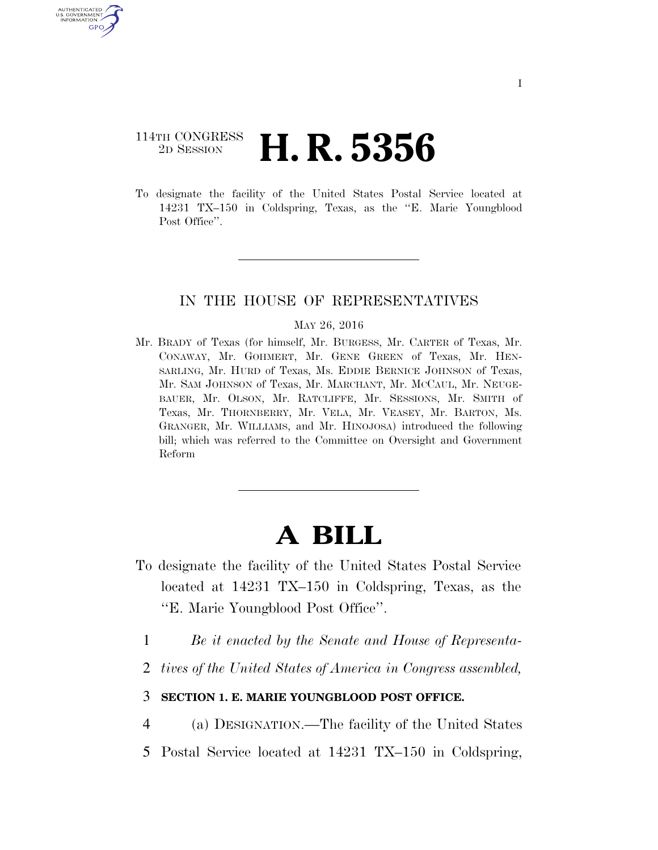# 114TH CONGRESS <sup>2D SESSION</sup> **H. R. 5356**

U.S. GOVERNMENT<br>INFORMATION GPO

> To designate the facility of the United States Postal Service located at 14231 TX–150 in Coldspring, Texas, as the ''E. Marie Youngblood Post Office".

### IN THE HOUSE OF REPRESENTATIVES

#### MAY 26, 2016

Mr. BRADY of Texas (for himself, Mr. BURGESS, Mr. CARTER of Texas, Mr. CONAWAY, Mr. GOHMERT, Mr. GENE GREEN of Texas, Mr. HEN-SARLING, Mr. HURD of Texas, Ms. EDDIE BERNICE JOHNSON of Texas, Mr. SAM JOHNSON of Texas, Mr. MARCHANT, Mr. MCCAUL, Mr. NEUGE-BAUER, Mr. OLSON, Mr. RATCLIFFE, Mr. SESSIONS, Mr. SMITH of Texas, Mr. THORNBERRY, Mr. VELA, Mr. VEASEY, Mr. BARTON, Ms. GRANGER, Mr. WILLIAMS, and Mr. HINOJOSA) introduced the following bill; which was referred to the Committee on Oversight and Government Reform

# **A BILL**

- To designate the facility of the United States Postal Service located at 14231 TX–150 in Coldspring, Texas, as the ''E. Marie Youngblood Post Office''.
	- 1 *Be it enacted by the Senate and House of Representa-*
	- 2 *tives of the United States of America in Congress assembled,*

## 3 **SECTION 1. E. MARIE YOUNGBLOOD POST OFFICE.**

4 (a) DESIGNATION.—The facility of the United States

5 Postal Service located at 14231 TX–150 in Coldspring,